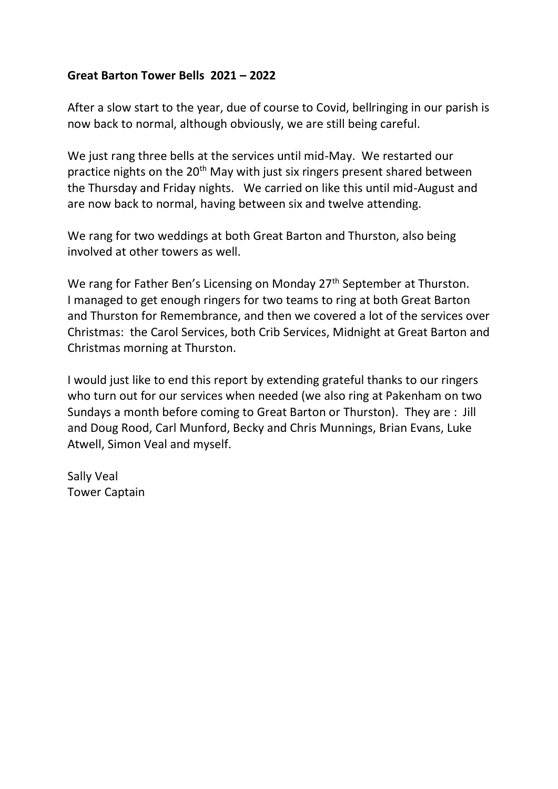## **Great Barton Tower Bells 2021 – 2022**

After a slow start to the year, due of course to Covid, bellringing in our parish is now back to normal, although obviously, we are still being careful.

We just rang three bells at the services until mid-May. We restarted our practice nights on the 20<sup>th</sup> May with just six ringers present shared between the Thursday and Friday nights. We carried on like this until mid-August and are now back to normal, having between six and twelve attending.

We rang for two weddings at both Great Barton and Thurston, also being involved at other towers as well.

We rang for Father Ben's Licensing on Monday 27<sup>th</sup> September at Thurston. I managed to get enough ringers for two teams to ring at both Great Barton and Thurston for Remembrance, and then we covered a lot of the services over Christmas: the Carol Services, both Crib Services, Midnight at Great Barton and Christmas morning at Thurston.

I would just like to end this report by extending grateful thanks to our ringers who turn out for our services when needed (we also ring at Pakenham on two Sundays a month before coming to Great Barton or Thurston). They are : Jill and Doug Rood, Carl Munford, Becky and Chris Munnings, Brian Evans, Luke Atwell, Simon Veal and myself.

Sally Veal Tower Captain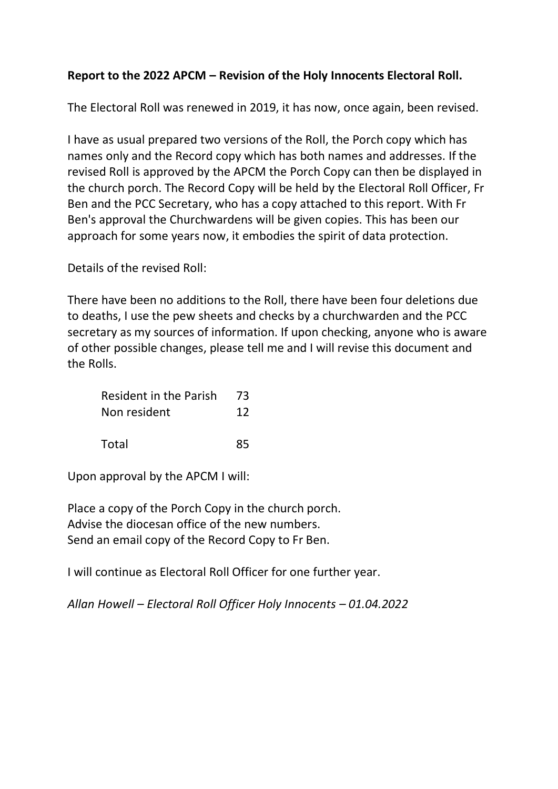# **Report to the 2022 APCM – Revision of the Holy Innocents Electoral Roll.**

The Electoral Roll was renewed in 2019, it has now, once again, been revised.

I have as usual prepared two versions of the Roll, the Porch copy which has names only and the Record copy which has both names and addresses. If the revised Roll is approved by the APCM the Porch Copy can then be displayed in the church porch. The Record Copy will be held by the Electoral Roll Officer, Fr Ben and the PCC Secretary, who has a copy attached to this report. With Fr Ben's approval the Churchwardens will be given copies. This has been our approach for some years now, it embodies the spirit of data protection.

Details of the revised Roll:

There have been no additions to the Roll, there have been four deletions due to deaths, I use the pew sheets and checks by a churchwarden and the PCC secretary as my sources of information. If upon checking, anyone who is aware of other possible changes, please tell me and I will revise this document and the Rolls.

| <b>Resident in the Parish</b> | - 73 |
|-------------------------------|------|
| Non resident                  | 12   |
|                               |      |

Total 85

Upon approval by the APCM I will:

Place a copy of the Porch Copy in the church porch. Advise the diocesan office of the new numbers. Send an email copy of the Record Copy to Fr Ben.

I will continue as Electoral Roll Officer for one further year.

*Allan Howell – Electoral Roll Officer Holy Innocents – 01.04.2022*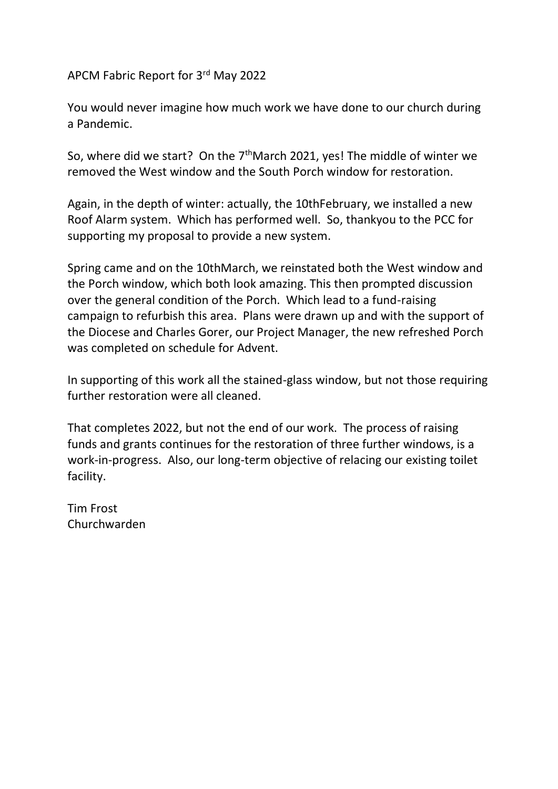APCM Fabric Report for 3rd May 2022

You would never imagine how much work we have done to our church during a Pandemic.

So, where did we start? On the  $7<sup>th</sup>$ March 2021, yes! The middle of winter we removed the West window and the South Porch window for restoration.

Again, in the depth of winter: actually, the 10thFebruary, we installed a new Roof Alarm system. Which has performed well. So, thankyou to the PCC for supporting my proposal to provide a new system.

Spring came and on the 10thMarch, we reinstated both the West window and the Porch window, which both look amazing. This then prompted discussion over the general condition of the Porch. Which lead to a fund-raising campaign to refurbish this area. Plans were drawn up and with the support of the Diocese and Charles Gorer, our Project Manager, the new refreshed Porch was completed on schedule for Advent.

In supporting of this work all the stained-glass window, but not those requiring further restoration were all cleaned.

That completes 2022, but not the end of our work. The process of raising funds and grants continues for the restoration of three further windows, is a work-in-progress. Also, our long-term objective of relacing our existing toilet facility.

Tim Frost Churchwarden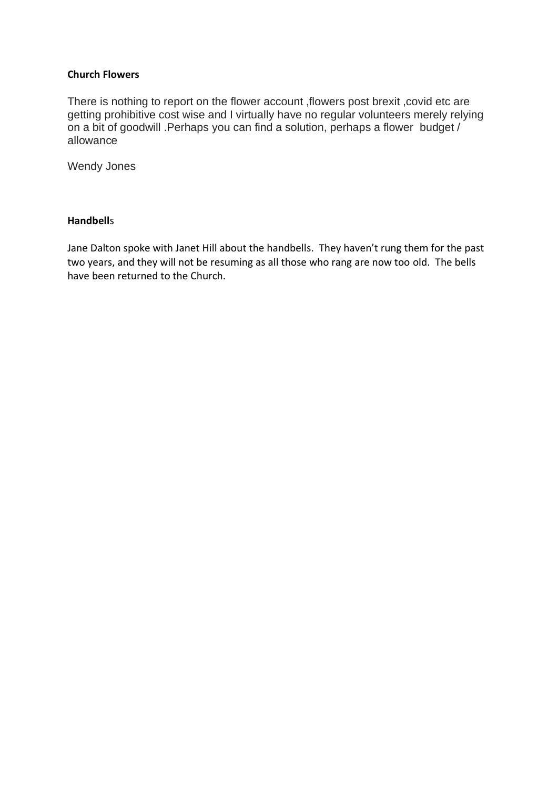### **Church Flowers**

There is nothing to report on the flower account ,flowers post brexit ,covid etc are getting prohibitive cost wise and I virtually have no regular volunteers merely relying on a bit of goodwill .Perhaps you can find a solution, perhaps a flower budget / allowance

Wendy Jones

### **Handbell**s

Jane Dalton spoke with Janet Hill about the handbells. They haven't rung them for the past two years, and they will not be resuming as all those who rang are now too old. The bells have been returned to the Church.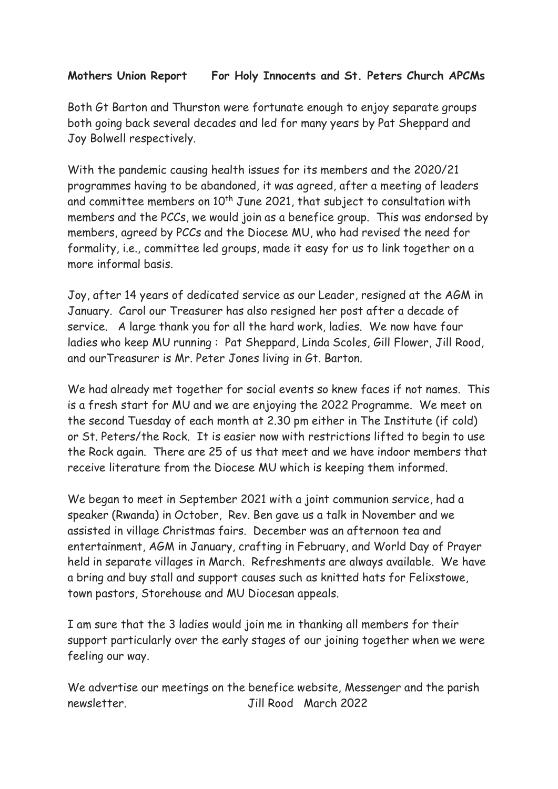## **Mothers Union Report For Holy Innocents and St. Peters Church APCMs**

Both Gt Barton and Thurston were fortunate enough to enjoy separate groups both going back several decades and led for many years by Pat Sheppard and Joy Bolwell respectively.

With the pandemic causing health issues for its members and the 2020/21 programmes having to be abandoned, it was agreed, after a meeting of leaders and committee members on 10<sup>th</sup> June 2021, that subject to consultation with members and the PCCs, we would join as a benefice group. This was endorsed by members, agreed by PCCs and the Diocese MU, who had revised the need for formality, i.e., committee led groups, made it easy for us to link together on a more informal basis.

Joy, after 14 years of dedicated service as our Leader, resigned at the AGM in January. Carol our Treasurer has also resigned her post after a decade of service. A large thank you for all the hard work, ladies. We now have four ladies who keep MU running : Pat Sheppard, Linda Scoles, Gill Flower, Jill Rood, and ourTreasurer is Mr. Peter Jones living in Gt. Barton.

We had already met together for social events so knew faces if not names. This is a fresh start for MU and we are enjoying the 2022 Programme. We meet on the second Tuesday of each month at 2.30 pm either in The Institute (if cold) or St. Peters/the Rock. It is easier now with restrictions lifted to begin to use the Rock again. There are 25 of us that meet and we have indoor members that receive literature from the Diocese MU which is keeping them informed.

We began to meet in September 2021 with a joint communion service, had a speaker (Rwanda) in October, Rev. Ben gave us a talk in November and we assisted in village Christmas fairs. December was an afternoon tea and entertainment, AGM in January, crafting in February, and World Day of Prayer held in separate villages in March. Refreshments are always available. We have a bring and buy stall and support causes such as knitted hats for Felixstowe, town pastors, Storehouse and MU Diocesan appeals.

I am sure that the 3 ladies would join me in thanking all members for their support particularly over the early stages of our joining together when we were feeling our way.

We advertise our meetings on the benefice website, Messenger and the parish newsletter. Jill Rood March 2022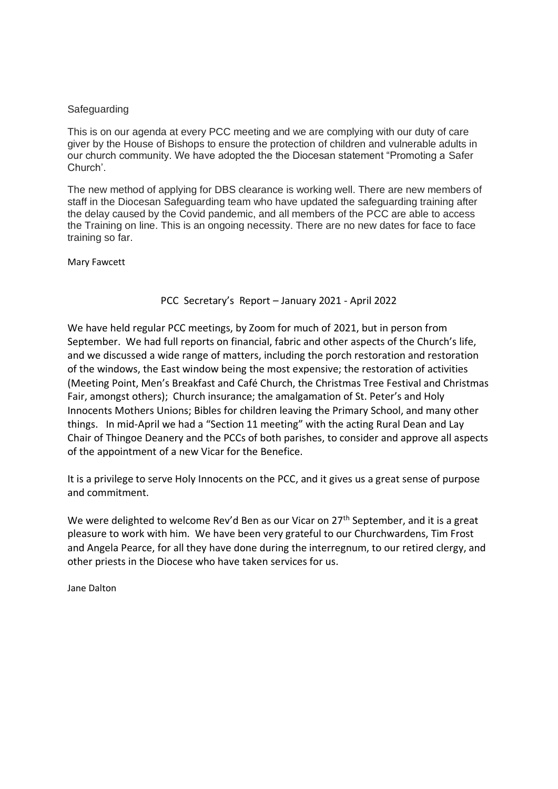#### **Safeguarding**

This is on our agenda at every PCC meeting and we are complying with our duty of care giver by the House of Bishops to ensure the protection of children and vulnerable adults in our church community. We have adopted the the Diocesan statement "Promoting a Safer Church'.

The new method of applying for DBS clearance is working well. There are new members of staff in the Diocesan Safeguarding team who have updated the safeguarding training after the delay caused by the Covid pandemic, and all members of the PCC are able to access the Training on line. This is an ongoing necessity. There are no new dates for face to face training so far.

Mary Fawcett

### PCC Secretary's Report – January 2021 - April 2022

We have held regular PCC meetings, by Zoom for much of 2021, but in person from September. We had full reports on financial, fabric and other aspects of the Church's life, and we discussed a wide range of matters, including the porch restoration and restoration of the windows, the East window being the most expensive; the restoration of activities (Meeting Point, Men's Breakfast and Café Church, the Christmas Tree Festival and Christmas Fair, amongst others); Church insurance; the amalgamation of St. Peter's and Holy Innocents Mothers Unions; Bibles for children leaving the Primary School, and many other things. In mid-April we had a "Section 11 meeting" with the acting Rural Dean and Lay Chair of Thingoe Deanery and the PCCs of both parishes, to consider and approve all aspects of the appointment of a new Vicar for the Benefice.

It is a privilege to serve Holy Innocents on the PCC, and it gives us a great sense of purpose and commitment.

We were delighted to welcome Rev'd Ben as our Vicar on 27<sup>th</sup> September, and it is a great pleasure to work with him. We have been very grateful to our Churchwardens, Tim Frost and Angela Pearce, for all they have done during the interregnum, to our retired clergy, and other priests in the Diocese who have taken services for us.

Jane Dalton